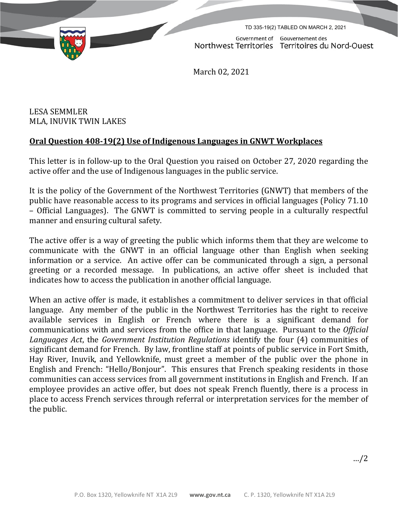TD 335-19(2) TABLED ON MARCH 2, 2021

Government of Gouvernement des Northwest Territories Territoires du Nord-Ouest

March 02, 2021

LESA SEMMLER MLA, INUVIK TWIN LAKES

## **Oral Question 408-19(2) Use of Indigenous Languages in GNWT Workplaces**

This letter is in follow-up to the Oral Question you raised on October 27, 2020 regarding the active offer and the use of Indigenous languages in the public service.

It is the policy of the Government of the Northwest Territories (GNWT) that members of the public have reasonable access to its programs and services in official languages (Policy 71.10 – Official Languages). The GNWT is committed to serving people in a culturally respectful manner and ensuring cultural safety.

The active offer is a way of greeting the public which informs them that they are welcome to communicate with the GNWT in an official language other than English when seeking information or a service. An active offer can be communicated through a sign, a personal greeting or a recorded message. In publications, an active offer sheet is included that indicates how to access the publication in another official language.

When an active offer is made, it establishes a commitment to deliver services in that official language. Any member of the public in the Northwest Territories has the right to receive available services in English or French where there is a significant demand for communications with and services from the office in that language. Pursuant to the *Official Languages Act*, the *Government Institution Regulations* identify the four (4) communities of significant demand for French. By law, frontline staff at points of public service in Fort Smith, Hay River, Inuvik, and Yellowknife, must greet a member of the public over the phone in English and French: "Hello/Bonjour". This ensures that French speaking residents in those communities can access services from all government institutions in English and French. If an employee provides an active offer, but does not speak French fluently, there is a process in place to access French services through referral or interpretation services for the member of the public.

…/2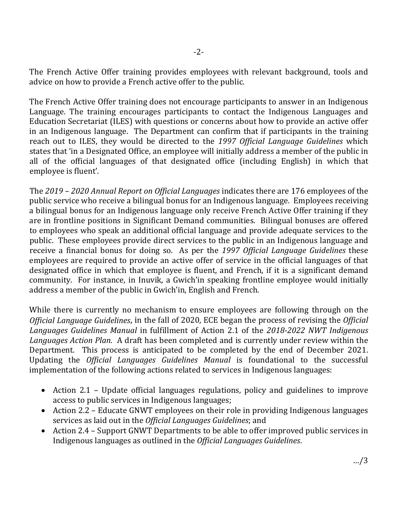The French Active Offer training provides employees with relevant background, tools and advice on how to provide a French active offer to the public.

The French Active Offer training does not encourage participants to answer in an Indigenous Language. The training encourages participants to contact the Indigenous Languages and Education Secretariat (ILES) with questions or concerns about how to provide an active offer in an Indigenous language. The Department can confirm that if participants in the training reach out to ILES, they would be directed to the *1997 Official Language Guidelines* which states that 'in a Designated Office, an employee will initially address a member of the public in all of the official languages of that designated office (including English) in which that employee is fluent'.

The *2019 – 2020 Annual Report on Official Languages* indicates there are 176 employees of the public service who receive a bilingual bonus for an Indigenous language. Employees receiving a bilingual bonus for an Indigenous language only receive French Active Offer training if they are in frontline positions in Significant Demand communities. Bilingual bonuses are offered to employees who speak an additional official language and provide adequate services to the public. These employees provide direct services to the public in an Indigenous language and receive a financial bonus for doing so. As per the *1997 Official Language Guidelines* these employees are required to provide an active offer of service in the official languages of that designated office in which that employee is fluent, and French, if it is a significant demand community. For instance, in Inuvik, a Gwich'in speaking frontline employee would initially address a member of the public in Gwich'in, English and French.

While there is currently no mechanism to ensure employees are following through on the *Official Language Guidelines*, in the fall of 2020, ECE began the process of revising the *Official Languages Guidelines Manual* in fulfillment of Action 2.1 of the *2018-2022 NWT Indigenous Languages Action Plan.* A draft has been completed and is currently under review within the Department. This process is anticipated to be completed by the end of December 2021. Updating the *Official Languages Guidelines Manual* is foundational to the successful implementation of the following actions related to services in Indigenous languages:

- Action 2.1 Update official languages regulations, policy and guidelines to improve access to public services in Indigenous languages;
- Action 2.2 Educate GNWT employees on their role in providing Indigenous languages services as laid out in the *Official Languages Guidelines*; and
- Action 2.4 Support GNWT Departments to be able to offer improved public services in Indigenous languages as outlined in the *Official Languages Guidelines*.